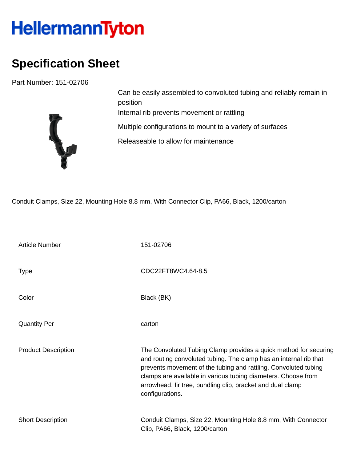## HellermannTyton

## **Specification Sheet**

Part Number: 151-02706



Can be easily assembled to convoluted tubing and reliably remain in position Internal rib prevents movement or rattling Multiple configurations to mount to a variety of surfaces Releaseable to allow for maintenance

Conduit Clamps, Size 22, Mounting Hole 8.8 mm, With Connector Clip, PA66, Black, 1200/carton

| <b>Article Number</b>      | 151-02706                                                                                                                                                                                                                                                                                                                                                  |
|----------------------------|------------------------------------------------------------------------------------------------------------------------------------------------------------------------------------------------------------------------------------------------------------------------------------------------------------------------------------------------------------|
| Type                       | CDC22FT8WC4.64-8.5                                                                                                                                                                                                                                                                                                                                         |
| Color                      | Black (BK)                                                                                                                                                                                                                                                                                                                                                 |
| <b>Quantity Per</b>        | carton                                                                                                                                                                                                                                                                                                                                                     |
| <b>Product Description</b> | The Convoluted Tubing Clamp provides a quick method for securing<br>and routing convoluted tubing. The clamp has an internal rib that<br>prevents movement of the tubing and rattling. Convoluted tubing<br>clamps are available in various tubing diameters. Choose from<br>arrowhead, fir tree, bundling clip, bracket and dual clamp<br>configurations. |
| <b>Short Description</b>   | Conduit Clamps, Size 22, Mounting Hole 8.8 mm, With Connector<br>Clip, PA66, Black, 1200/carton                                                                                                                                                                                                                                                            |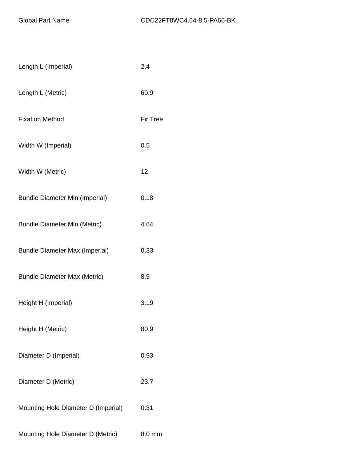| Length L (Imperial)                   | 2.4             |
|---------------------------------------|-----------------|
| Length L (Metric)                     | 60.9            |
| <b>Fixation Method</b>                | <b>Fir Tree</b> |
| Width W (Imperial)                    | 0.5             |
| Width W (Metric)                      | 12              |
| <b>Bundle Diameter Min (Imperial)</b> | 0.18            |
| <b>Bundle Diameter Min (Metric)</b>   | 4.64            |
| <b>Bundle Diameter Max (Imperial)</b> | 0.33            |
| <b>Bundle Diameter Max (Metric)</b>   | 8.5             |
| Height H (Imperial)                   | 3.19            |
| Height H (Metric)                     | 80.9            |
| Diameter D (Imperial)                 | 0.93            |
| Diameter D (Metric)                   | 23.7            |
| Mounting Hole Diameter D (Imperial)   | 0.31            |
| Mounting Hole Diameter D (Metric)     | 8.0 mm          |